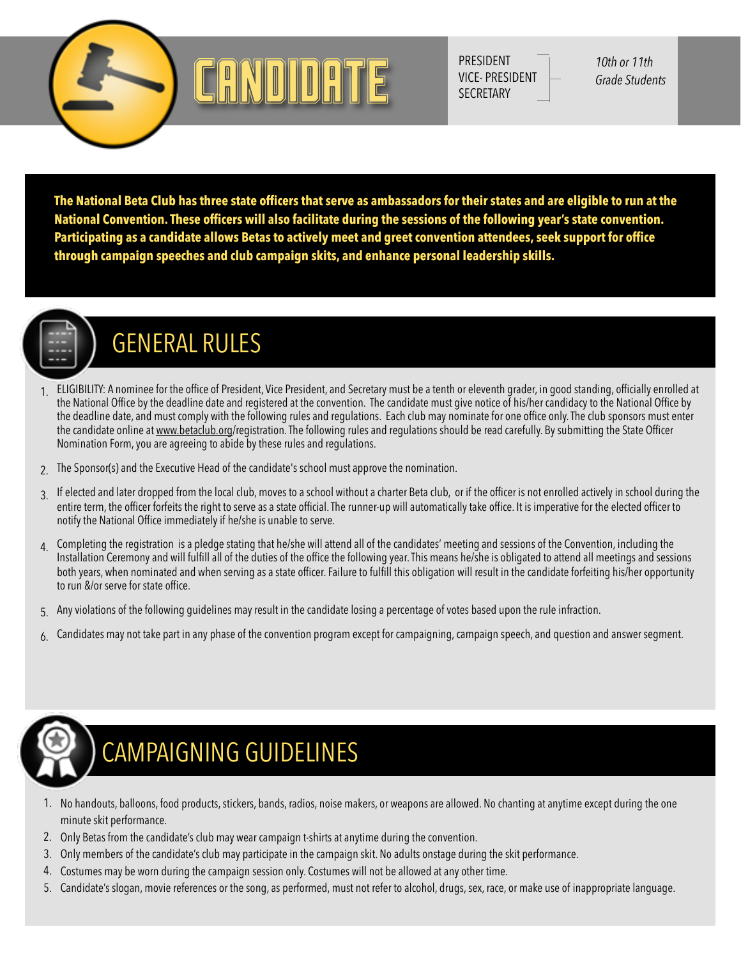

PRESIDENT VICE- PRESIDENT **SECRETARY** 

*10th or 11th Grade Students*

**The National Beta Club has three state officers that serve as ambassadors for their states and are eligible to run at the National Convention. These officers will also facilitate during the sessions of the following year's state convention. Participating as a candidate allows Betas to actively meet and greet convention attendees, seek support for office through campaign speeches and club campaign skits, and enhance personal leadership skills.** 



# GENERAL RULES

- 1. ELIGIBILITY: A nominee for the office of President, Vice President, and Secretary must be a tenth or eleventh grader, in good standing, officially enrolled at the National Office by the deadline date and registered at the convention. The candidate must give notice of his/her candidacy to the National Office by the deadline date, and must comply with the following rules and regulations. Each club may nominate for one office only. The club sponsors must enter the candidate online at [www.betaclub.org](http://www.betaclub.org)/registration. The following rules and regulations should be read carefully. By submitting the State Officer Nomination Form, you are agreeing to abide by these rules and regulations.
- 2. The Sponsor(s) and the Executive Head of the candidate's school must approve the nomination.
- 3. If elected and later dropped from the local club, moves to a school without a charter Beta club, or if the officer is not enrolled actively in school during the entire term, the officer forfeits the right to serve as a state official. The runner-up will automatically take office. It is imperative for the elected officer to notify the National Office immediately if he/she is unable to serve.
- 4. Completing the registration is a pledge stating that he/she will attend all of the candidates' meeting and sessions of the Convention, including the Installation Ceremony and will fulfill all of the duties of the office the following year. This means he/she is obligated to attend all meetings and sessions both years, when nominated and when serving as a state officer. Failure to fulfill this obligation will result in the candidate forfeiting his/her opportunity to run &/or serve for state office.
- 5. Any violations of the following guidelines may result in the candidate losing a percentage of votes based upon the rule infraction.
- $6.$  Candidates may not take part in any phase of the convention program except for campaigning, campaign speech, and question and answer segment.



# CAMPAIGNING GUIDELINES

- 1. No handouts, balloons, food products, stickers, bands, radios, noise makers, or weapons are allowed. No chanting at anytime except during the one minute skit performance.
- 2. Only Betas from the candidate's club may wear campaign t-shirts at anytime during the convention.
- 3. Only members of the candidate's club may participate in the campaign skit. No adults onstage during the skit performance.
- 4. Costumes may be worn during the campaign session only. Costumes will not be allowed at any other time.
- 5. Candidate's slogan, movie references or the song, as performed, must not refer to alcohol, drugs, sex, race, or make use of inappropriate language.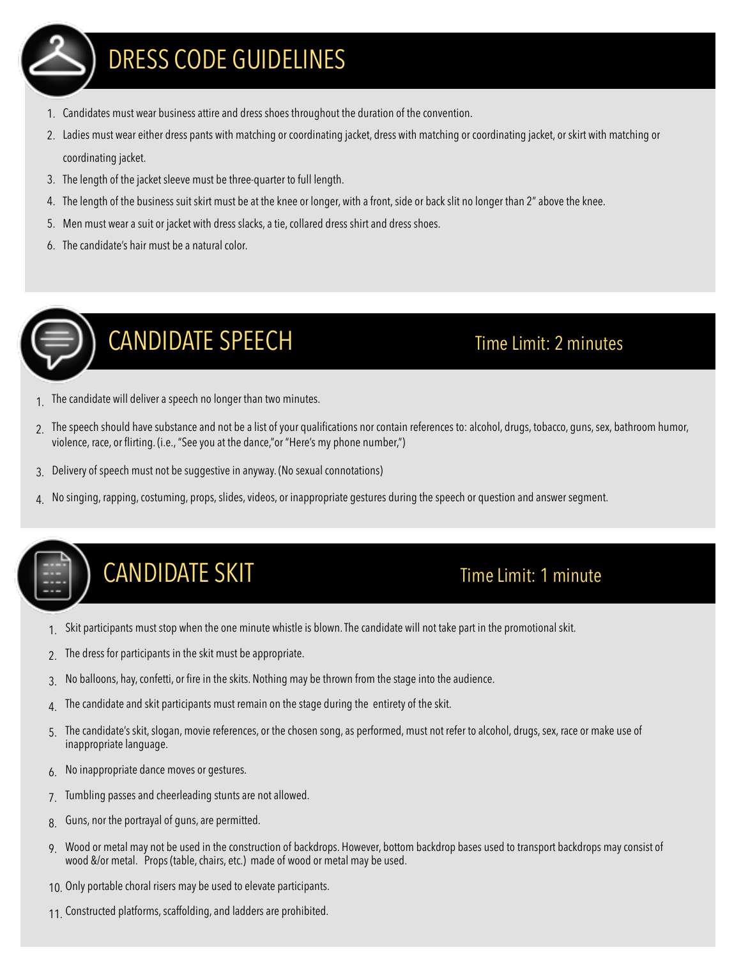

### DRESS CODE GUIDELINES

- 1. Candidates must wear business attire and dress shoes throughout the duration of the convention.
- 2. Ladies must wear either dress pants with matching or coordinating jacket, dress with matching or coordinating jacket, or skirt with matching or coordinating jacket.
- 3. The length of the jacket sleeve must be three-quarter to full length.
- 4. The length of the business suit skirt must be at the knee or longer, with a front, side or back slit no longer than 2" above the knee.
- 5. Men must wear a suit or jacket with dress slacks, a tie, collared dress shirt and dress shoes.
- 6. The candidate's hair must be a natural color.



# CANDIDATE SPEECH Time Limit: 2 minutes

- The candidate will deliver a speech no longer than two minutes.
- 2. The speech should have substance and not be a list of your qualifications nor contain references to: alcohol, drugs, tobacco, guns, sex, bathroom humor, violence, race, or flirting. (i.e., "See you at the dance,"or "Here's my phone number,")
- 3. Delivery of speech must not be suggestive in anyway. (No sexual connotations)
- 4. No singing, rapping, costuming, props, slides, videos, or inappropriate gestures during the speech or question and answer segment.

# CANDIDATE SKIT Time Limit: 1 minute

- 1. Skit participants must stop when the one minute whistle is blown. The candidate will not take part in the promotional skit.
- 2. The dress for participants in the skit must be appropriate.
- 3. No balloons, hay, confetti, or fire in the skits. Nothing may be thrown from the stage into the audience.
- $4<sub>l</sub>$  The candidate and skit participants must remain on the stage during the entirety of the skit.
- 5. The candidate's skit, slogan, movie references, or the chosen song, as performed, must not refer to alcohol, drugs, sex, race or make use of inappropriate language.
- 6. No inappropriate dance moves or gestures.
- 7. Tumbling passes and cheerleading stunts are not allowed.
- 8. Guns, nor the portrayal of guns, are permitted.
- 9. Wood or metal may not be used in the construction of backdrops. However, bottom backdrop bases used to transport backdrops may consist of wood &/or metal. Props (table, chairs, etc.) made of wood or metal may be used.
- 10. Only portable choral risers may be used to elevate participants.
- 11. Constructed platforms, scaffolding, and ladders are prohibited.